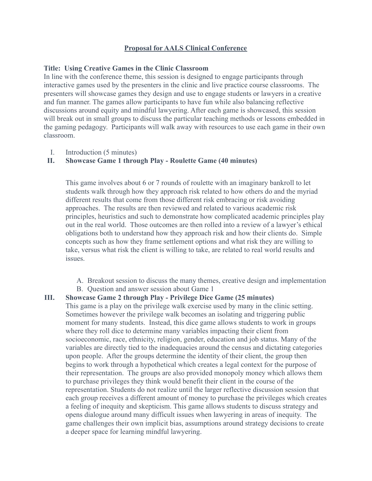## **Proposal for AALS Clinical Conference**

## **Title: Using Creative Games in the Clinic Classroom**

In line with the conference theme, this session is designed to engage participants through interactive games used by the presenters in the clinic and live practice course classrooms. The presenters will showcase games they design and use to engage students or lawyers in a creative and fun manner. The games allow participants to have fun while also balancing reflective discussions around equity and mindful lawyering. After each game is showcased, this session will break out in small groups to discuss the particular teaching methods or lessons embedded in the gaming pedagogy. Participants will walk away with resources to use each game in their own classroom.

I. Introduction (5 minutes)

## **II. Showcase Game 1 through Play - Roulette Game (40 minutes)**

This game involves about 6 or 7 rounds of roulette with an imaginary bankroll to let students walk through how they approach risk related to how others do and the myriad different results that come from those different risk embracing or risk avoiding approaches. The results are then reviewed and related to various academic risk principles, heuristics and such to demonstrate how complicated academic principles play out in the real world. Those outcomes are then rolled into a review of a lawyer's ethical obligations both to understand how they approach risk and how their clients do. Simple concepts such as how they frame settlement options and what risk they are willing to take, versus what risk the client is willing to take, are related to real world results and issues.

- A. Breakout session to discuss the many themes, creative design and implementation
- B. Question and answer session about Game 1

## **III. Showcase Game 2 through Play - Privilege Dice Game (25 minutes)**

This game is a play on the privilege walk exercise used by many in the clinic setting. Sometimes however the privilege walk becomes an isolating and triggering public moment for many students. Instead, this dice game allows students to work in groups where they roll dice to determine many variables impacting their client from socioeconomic, race, ethnicity, religion, gender, education and job status. Many of the variables are directly tied to the inadequacies around the census and dictating categories upon people. After the groups determine the identity of their client, the group then begins to work through a hypothetical which creates a legal context for the purpose of their representation. The groups are also provided monopoly money which allows them to purchase privileges they think would benefit their client in the course of the representation. Students do not realize until the larger reflective discussion session that each group receives a different amount of money to purchase the privileges which creates a feeling of inequity and skepticism. This game allows students to discuss strategy and opens dialogue around many difficult issues when lawyering in areas of inequity. The game challenges their own implicit bias, assumptions around strategy decisions to create a deeper space for learning mindful lawyering.